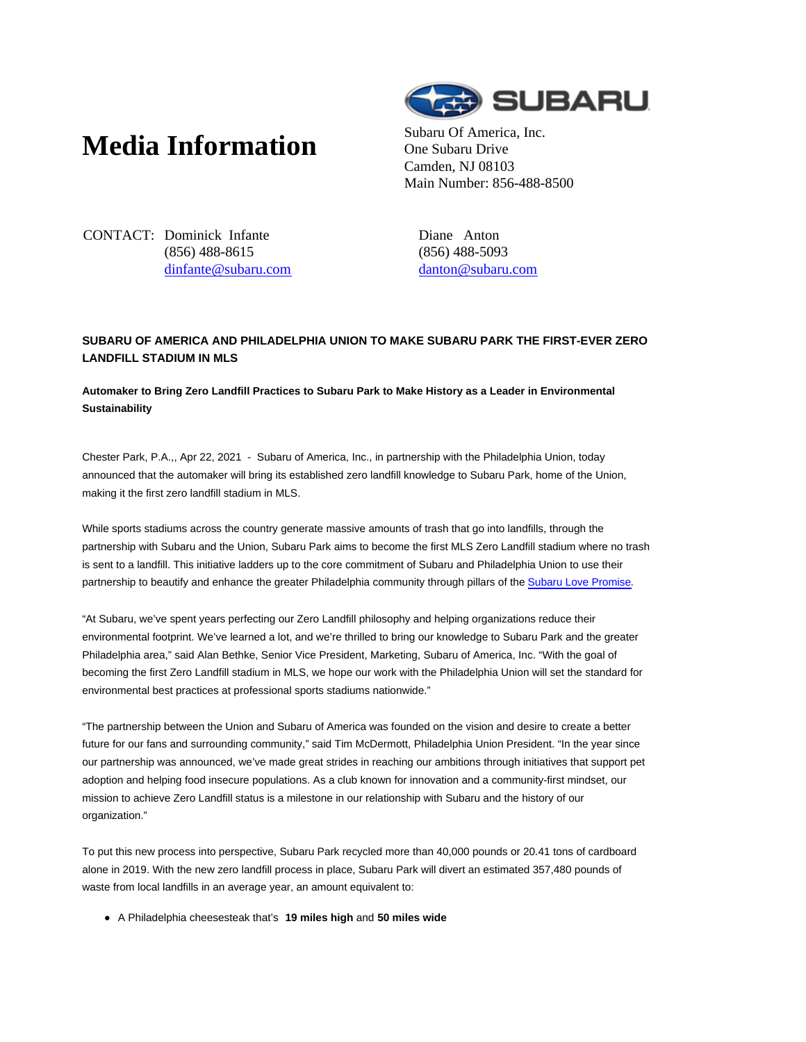# **Media Information** Subaru Of America, Inc.



One Subaru Drive Camden, NJ 08103 Main Number: 856-488-8500

CONTACT: Dominick Infante (856) 488-8615 dinfante@subaru.com Diane Anton (856) 488-5093 danton@subaru.com

## **SUBARU OF AMERICA AND PHILADELPHIA UNION TO MAKE SUBARU PARK THE FIRST-EVER ZERO LANDFILL STADIUM IN MLS**

### **Automaker to Bring Zero Landfill Practices to Subaru Park to Make History as a Leader in Environmental Sustainability**

Chester Park, P.A.,, Apr 22, 2021 - Subaru of America, Inc., in partnership with the Philadelphia Union, today announced that the automaker will bring its established zero landfill knowledge to Subaru Park, home of the Union, making it the first zero landfill stadium in MLS.

While sports stadiums across the country generate massive amounts of trash that go into landfills, through the partnership with Subaru and the Union, Subaru Park aims to become the first MLS Zero Landfill stadium where no trash is sent to a landfill. This initiative ladders up to the core commitment of Subaru and Philadelphia Union to use their partnership to beautify and enhance the greater Philadelphia community through pillars of the Subaru Love Promise.

"At Subaru, we've spent years perfecting our Zero Landfill philosophy and helping organizations reduce their environmental footprint. We've learned a lot, and we're thrilled to bring our knowledge to Subaru Park and the greater Philadelphia area," said Alan Bethke, Senior Vice President, Marketing, Subaru of America, Inc. "With the goal of becoming the first Zero Landfill stadium in MLS, we hope our work with the Philadelphia Union will set the standard for environmental best practices at professional sports stadiums nationwide."

"The partnership between the Union and Subaru of America was founded on the vision and desire to create a better future for our fans and surrounding community," said Tim McDermott, Philadelphia Union President. "In the year since our partnership was announced, we've made great strides in reaching our ambitions through initiatives that support pet adoption and helping food insecure populations. As a club known for innovation and a community-first mindset, our mission to achieve Zero Landfill status is a milestone in our relationship with Subaru and the history of our organization."

To put this new process into perspective, Subaru Park recycled more than 40,000 pounds or 20.41 tons of cardboard alone in 2019. With the new zero landfill process in place, Subaru Park will divert an estimated 357,480 pounds of waste from local landfills in an average year, an amount equivalent to:

A Philadelphia cheesesteak that's **19 miles high** and **50 miles wide**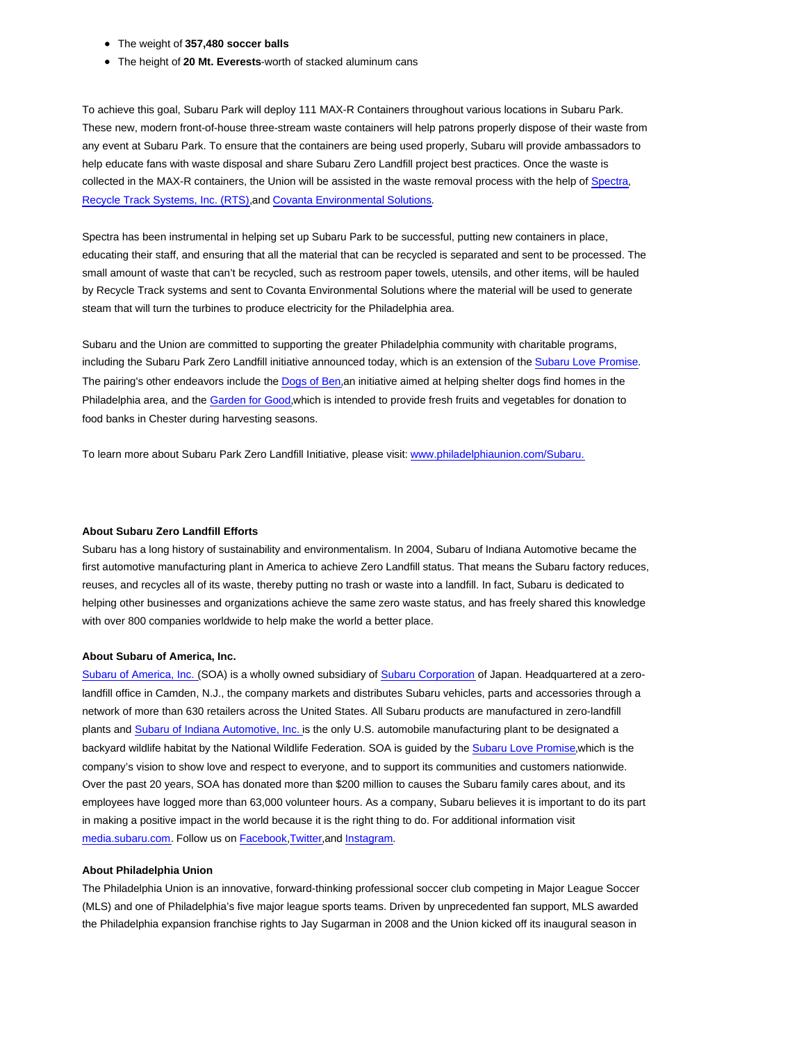- The weight of **357,480 soccer balls**
- The height of **20 Mt. Everests**-worth of stacked aluminum cans

To achieve this goal, Subaru Park will deploy 111 MAX-R Containers throughout various locations in Subaru Park. These new, modern front-of-house three-stream waste containers will help patrons properly dispose of their waste from any event at Subaru Park. To ensure that the containers are being used properly, Subaru will provide ambassadors to help educate fans with waste disposal and share Subaru Zero Landfill project best practices. Once the waste is collected in the MAX-R containers, the Union will be assisted in the waste removal process with the help of Spectra, Recycle Track Systems, Inc. (RTS),and Covanta Environmental Solutions.

Spectra has been instrumental in helping set up Subaru Park to be successful, putting new containers in place, educating their staff, and ensuring that all the material that can be recycled is separated and sent to be processed. The small amount of waste that can't be recycled, such as restroom paper towels, utensils, and other items, will be hauled by Recycle Track systems and sent to Covanta Environmental Solutions where the material will be used to generate steam that will turn the turbines to produce electricity for the Philadelphia area.

Subaru and the Union are committed to supporting the greater Philadelphia community with charitable programs, including the Subaru Park Zero Landfill initiative announced today, which is an extension of the Subaru Love Promise. The pairing's other endeavors include the Dogs of Ben,an initiative aimed at helping shelter dogs find homes in the Philadelphia area, and the Garden for Good,which is intended to provide fresh fruits and vegetables for donation to food banks in Chester during harvesting seasons.

To learn more about Subaru Park Zero Landfill Initiative, please visit: www.philadelphiaunion.com/Subaru.

#### **About Subaru Zero Landfill Efforts**

Subaru has a long history of sustainability and environmentalism. In 2004, Subaru of Indiana Automotive became the first automotive manufacturing plant in America to achieve Zero Landfill status. That means the Subaru factory reduces, reuses, and recycles all of its waste, thereby putting no trash or waste into a landfill. In fact, Subaru is dedicated to helping other businesses and organizations achieve the same zero waste status, and has freely shared this knowledge with over 800 companies worldwide to help make the world a better place.

#### **About Subaru of America, Inc.**

Subaru of America, Inc. (SOA) is a wholly owned subsidiary of Subaru Corporation of Japan. Headquartered at a zerolandfill office in Camden, N.J., the company markets and distributes Subaru vehicles, parts and accessories through a network of more than 630 retailers across the United States. All Subaru products are manufactured in zero-landfill plants and Subaru of Indiana Automotive, Inc. is the only U.S. automobile manufacturing plant to be designated a backyard wildlife habitat by the National Wildlife Federation. SOA is guided by the Subaru Love Promise,which is the company's vision to show love and respect to everyone, and to support its communities and customers nationwide. Over the past 20 years, SOA has donated more than \$200 million to causes the Subaru family cares about, and its employees have logged more than 63,000 volunteer hours. As a company, Subaru believes it is important to do its part in making a positive impact in the world because it is the right thing to do. For additional information visit media.subaru.com. Follow us on Facebook,Twitter,and Instagram.

#### **About Philadelphia Union**

The Philadelphia Union is an innovative, forward-thinking professional soccer club competing in Major League Soccer (MLS) and one of Philadelphia's five major league sports teams. Driven by unprecedented fan support, MLS awarded the Philadelphia expansion franchise rights to Jay Sugarman in 2008 and the Union kicked off its inaugural season in